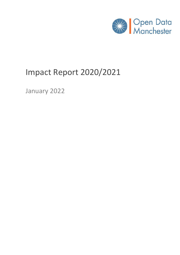

# Impact Report 2020/2021

January 2022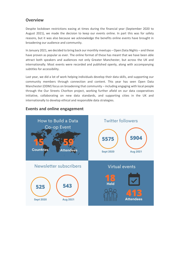#### **Overview**

Despite lockdown restrictions easing at times during the financial year (September 2020 to August 2021), we made the decision to keep our events online. In part this was for safety reasons, but it was also because we acknowledge the benefits online events have brought in broadening our audience and community.

In January 2021, we decided to bring back our monthly meetups – Open:Data:Nights – and these have proven as popular as ever. The online format of these has meant that we have been able attract both speakers and audiences not only Greater Manchester, but across the UK and internationally. Most events were recorded and published openly, along with accompanying subtitles for accessibility.

Last year, we did a lot of work helping individuals develop their data skills, and supporting our community members through connection and content. This year has seen Open Data Manchester (ODM) focus on broadening that community – including engaging with local people through the Our Streets Chorlton project, working further afield on our data cooperatives initiative, collaborating on new data standards, and supporting cities in the UK and internationally to develop ethical and responsible data strategies.



#### **Events and online engagement**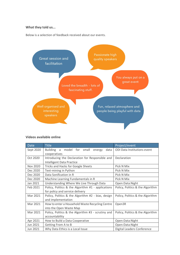#### **What they told us...**

Below is a selection of feedback received about our events.



#### **Videos available online**

| <b>Date</b> | <b>Title</b>                                              | Project/event                    |
|-------------|-----------------------------------------------------------|----------------------------------|
| Sept 2020   | <b>Building</b><br>model for small<br>data<br>a<br>energy | ODI Data Institutions event      |
|             | cooperatives                                              |                                  |
| Oct 2020    | Introducing the Declaration for Responsible and           | Declaration                      |
|             | Intelligent Data Practice                                 |                                  |
| Nov 2020    | <b>Tricks and Hacks for Google Sheets</b>                 | Pick N Mix                       |
| Dec 2020    | Text-mining in Python                                     | Pick N Mix                       |
| Dec 2020    | Data Sonification in R                                    | Pick N Mix                       |
| Dec 2020    | Machine Learning Fundamentals in R                        | Pick N Mix                       |
| Jan 2021    | Understanding Where We Live Through Data                  | Open:Data:Night                  |
| Feb 2021    | Policy, Politics & the Algorithm #1 - applications        | Policy, Politics & the Algorithm |
|             | for policy and service delivery                           |                                  |
| Mar 2021    | Policy, Politics & the Algorithm #2 - bias, design        | Policy, Politics & the Algorithm |
|             | and implementation                                        |                                  |
| Mar 2021    | How to enter a Household Waste Recycling Centre           | Open3R                           |
|             | into the Open Waste Map                                   |                                  |
| Mar 2021    | Policy, Politics & the Algorithm #3 - scrutiny and        | Policy, Politics & the Algorithm |
|             | accountability                                            |                                  |
| Apr 2021    | How to Build a Data Cooperative                           | Open:Data:Night                  |
| Jun 2021    | Getting From A to B                                       | Open:Data:Night                  |
| Jun 2021    | Why Data Ethics is a Local Issue                          | Digital Leaders Conference       |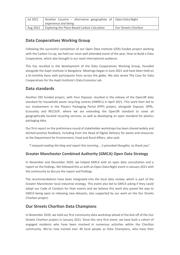| Jul 2021 | Another Country – alternative geographies of Open:Data:Night |                      |
|----------|--------------------------------------------------------------|----------------------|
|          | experience and being                                         |                      |
| Aug 2021 | Exploring the Place-Based Carbon Calculator                  | Our Streets Chorlton |

## **Data Cooperatives Working Group**

Following the successful completion of our Open Data Institute (ODI) funded project working with the Carbon Co-op, we held our most well-attended event of the year, How to Build a Data Cooperative, which also brought in our most international audience.

This has resulted in the development of the Data Cooperatives Working Group, founded alongside the Aapti Institute in Bangalore. Meetings began in June 2021 and have been held on a bi-monthly basis with participants from across the globe. We also wrote The Case for Data Cooperatives for the Aapti Institute's Data Economy Lab.

### **Data standards**

Another ODI funded project, with Your Dsposal, resulted in the release of the Open3R data standard for household waste recycling centres (HWRCs) in April 2021. This work then led to our involvement in the Plastics Packaging Portal (PPP) project, alongside Dsposal, OPRL, Ecosurety and RECOUP, where we are extending the Open3R standard to cover all geographically located recycling services, as well as developing an open standard for plastics packaging data.

Our first report on the preliminary round of stakeholder workshops has been shared widely and elicited positive feedback, including from the Head of Digital Delivery for waste and resources at the Department for Environment, Food and Rural Affairs, who said:

*"I enjoyed reading the blog and report this morning... it provoked thoughts, so thank you".*

#### **Greater Manchester Combined Authority (GMCA) Open Data Strategy**

In November and December 2020, we helped GMCA with an open data consultation and a report on the findings. We followed this us with an Open:Data:Night event in January 2021 with the community to discuss the report and findings.

The recommendations have been integrated into the local data review, which is part of the Greater Manchester local industrial strategy. This event also led to GMCA asking if they could adopt our Code of Conduct for their events and we believe this work also paved the way to GMCA being open to releasing new datasets, also supported by our work on the Our Streets Chorlton project.

### **Our Streets Chorlton Data Champions**

In November 2020, we held our first community data workshop ahead of the kick off of the Our Streets Chorlton project in January 2021. Since this very first event, we have built a cohort of engaged residents who have been involved in numerous activities within the Chorlton community. We've now trained over 40 local people as Data Champions, who have then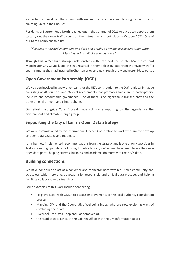supported our work on the ground with manual traffic counts and hosting Telraam traffic counting units in their houses.

Residents of Egerton Road North reached out in the Summer of 2021 to ask us to support them to carry out their own traffic count on their street, which took place in October 2021. One of our Data Champions told us:

*"I've been interested in numbers and data and graphs all my life, discovering Open Data Manchester has felt like coming home".*

Through this, we've built stronger relationships with Transport for Greater Manchester and Manchester City Council, and this has resulted in them releasing data from the Vivacity traffic count cameras they had installed in Chorlton as open data through the Manchester-i data portal.

# **Open Government Partnership (OGP)**

We've been involved in two workstreams for the UK's contribution to the OGP, a global initiative consisting of 78 countries and 76 local governments that promotes transparent, participatory, inclusive and accountable governance. One of these is on algorithmic transparency and the other on environment and climate change.

Our efforts, alongside Your Dsposal, have got waste reporting on the agenda for the environment and climate change group.

# **Supporting the City of Izmir's Open Data Strategy**

We were commissioned by the International Finance Corporation to work with Izmir to develop an open-data strategy and roadmap.

Izmir has now implemented recommendations from the strategy and is one of only two cities in Turkey releasing open data. Following its public launch, we've been heartened to see their new open data portal helping citizens, business and academia do more with the city's data.

### **Building connections**

We have continued to act as a convenor and connector both within our own community and across our wider networks, advocating for responsible and ethical data practice, and helping facilitate collaborative partnerships.

Some examples of this work include connecting:

- Foxglove Legal with GMCA to discuss improvements to the local authority consultation process
- Mapping GM and the Cooperative Wellbeing Index, who are now exploring ways of combining their data
- Liverpool Civic Data Coop and Cooperatives UK
- the Head of Data Ethics at the Cabinet Office with the GM Information Board